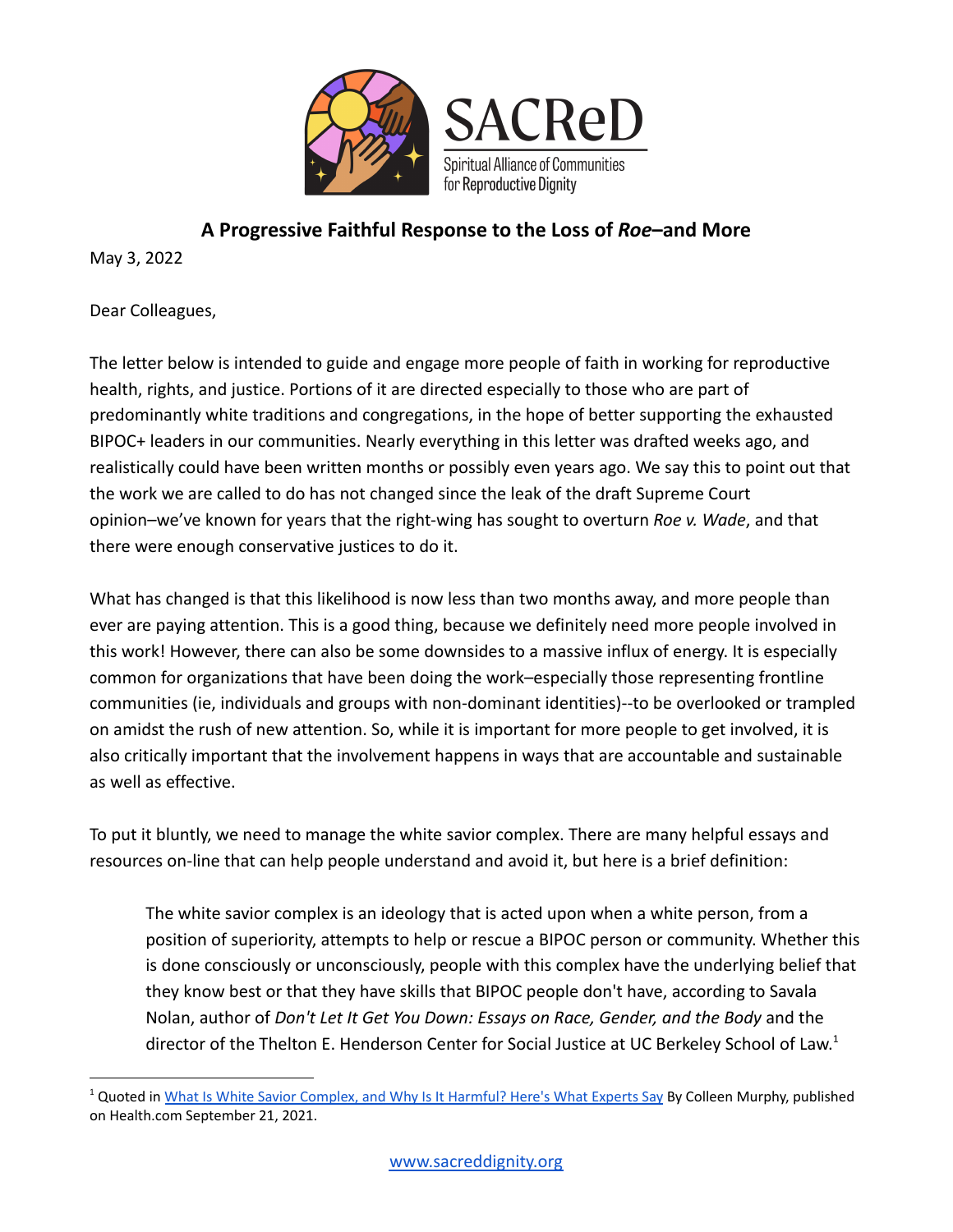

# **A Progressive Faithful Response to the Loss of** *Roe***–and More**

May 3, 2022

Dear Colleagues,

The letter below is intended to guide and engage more people of faith in working for reproductive health, rights, and justice. Portions of it are directed especially to those who are part of predominantly white traditions and congregations, in the hope of better supporting the exhausted BIPOC+ leaders in our communities. Nearly everything in this letter was drafted weeks ago, and realistically could have been written months or possibly even years ago. We say this to point out that the work we are called to do has not changed since the leak of the draft Supreme Court opinion–we've known for years that the right-wing has sought to overturn *Roe v. Wade*, and that there were enough conservative justices to do it.

What has changed is that this likelihood is now less than two months away, and more people than ever are paying attention. This is a good thing, because we definitely need more people involved in this work! However, there can also be some downsides to a massive influx of energy. It is especially common for organizations that have been doing the work–especially those representing frontline communities (ie, individuals and groups with non-dominant identities)--to be overlooked or trampled on amidst the rush of new attention. So, while it is important for more people to get involved, it is also critically important that the involvement happens in ways that are accountable and sustainable as well as effective.

To put it bluntly, we need to manage the white savior complex. There are many helpful essays and resources on-line that can help people understand and avoid it, but here is a brief definition:

The white savior complex is an ideology that is acted upon when a white person, from a position of superiority, attempts to help or rescue a BIPOC person or community. Whether this is done consciously or unconsciously, people with this complex have the underlying belief that they know best or that they have skills that BIPOC people don't have, according to Savala Nolan, author of *Don't Let It Get You Down: Essays on Race, Gender, and the Body* and the director of the Thelton E. Henderson Center for Social Justice at UC Berkeley School of Law.<sup>1</sup>

<sup>&</sup>lt;sup>1</sup> Quoted in What Is White Savior [Complex,](https://www.health.com/mind-body/health-diversity-inclusion/white-savior-complex) and Why Is It Harmful? Here's What Experts Say By Colleen Murphy, published on Health.com September 21, 2021.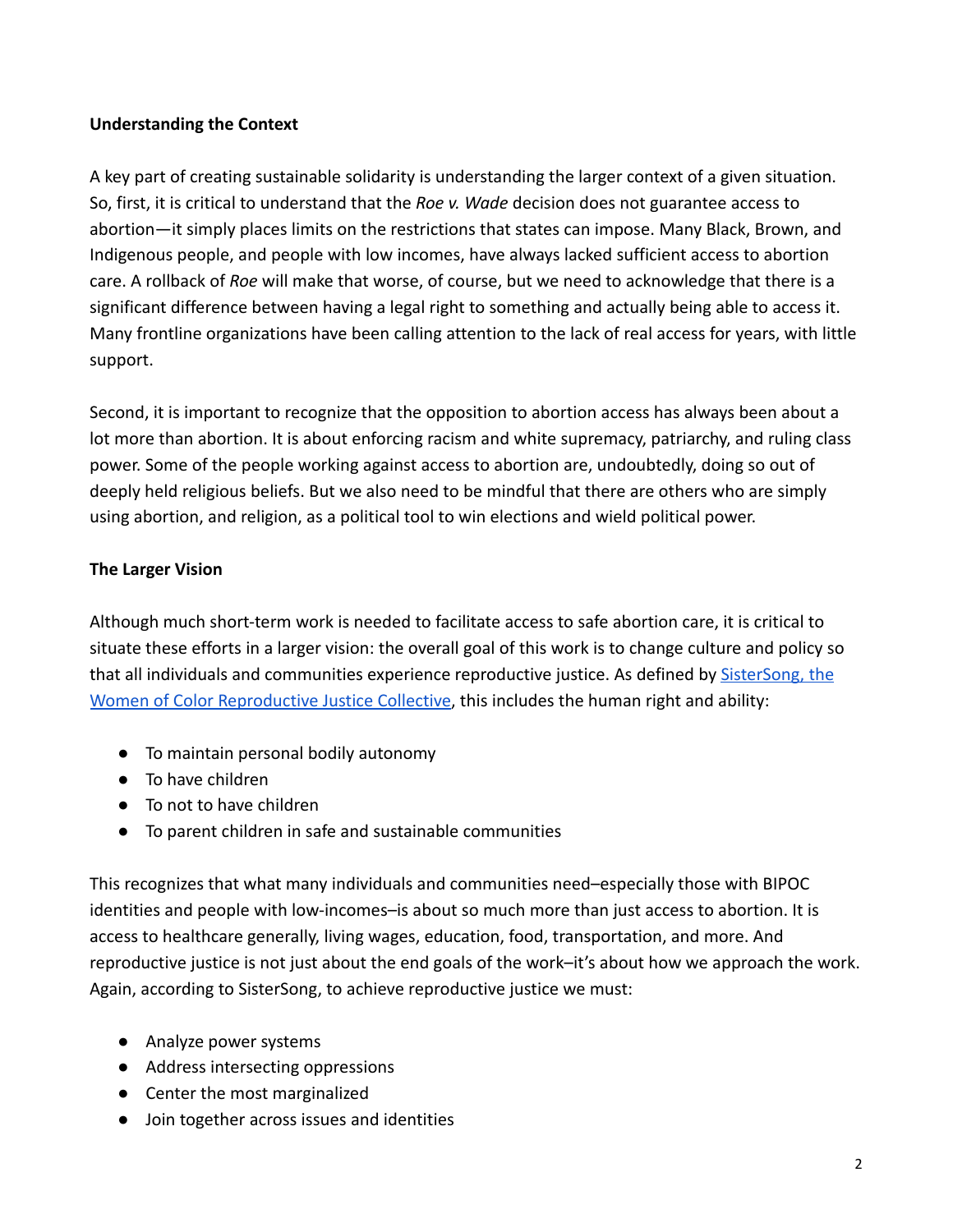## **Understanding the Context**

A key part of creating sustainable solidarity is understanding the larger context of a given situation. So, first, it is critical to understand that the *Roe v. Wade* decision does not guarantee access to abortion—it simply places limits on the restrictions that states can impose. Many Black, Brown, and Indigenous people, and people with low incomes, have always lacked sufficient access to abortion care. A rollback of *Roe* will make that worse, of course, but we need to acknowledge that there is a significant difference between having a legal right to something and actually being able to access it. Many frontline organizations have been calling attention to the lack of real access for years, with little support.

Second, it is important to recognize that the opposition to abortion access has always been about a lot more than abortion. It is about enforcing racism and white supremacy, patriarchy, and ruling class power. Some of the people working against access to abortion are, undoubtedly, doing so out of deeply held religious beliefs. But we also need to be mindful that there are others who are simply using abortion, and religion, as a political tool to win elections and wield political power.

### **The Larger Vision**

Although much short-term work is needed to facilitate access to safe abortion care, it is critical to situate these efforts in a larger vision: the overall goal of this work is to change culture and policy so that all individuals and communities experience reproductive justice. As defined by **SisterSong**, the [Women of Color Reproductive Justice Collective,](https://www.sistersong.net/reproductive-justice) this includes the human right and ability:

- To maintain personal bodily autonomy
- To have children
- To not to have children
- To parent children in safe and sustainable communities

This recognizes that what many individuals and communities need–especially those with BIPOC identities and people with low-incomes–is about so much more than just access to abortion. It is access to healthcare generally, living wages, education, food, transportation, and more. And reproductive justice is not just about the end goals of the work–it's about how we approach the work. Again, according to SisterSong, to achieve reproductive justice we must:

- Analyze power systems
- Address intersecting oppressions
- Center the most marginalized
- Join together across issues and identities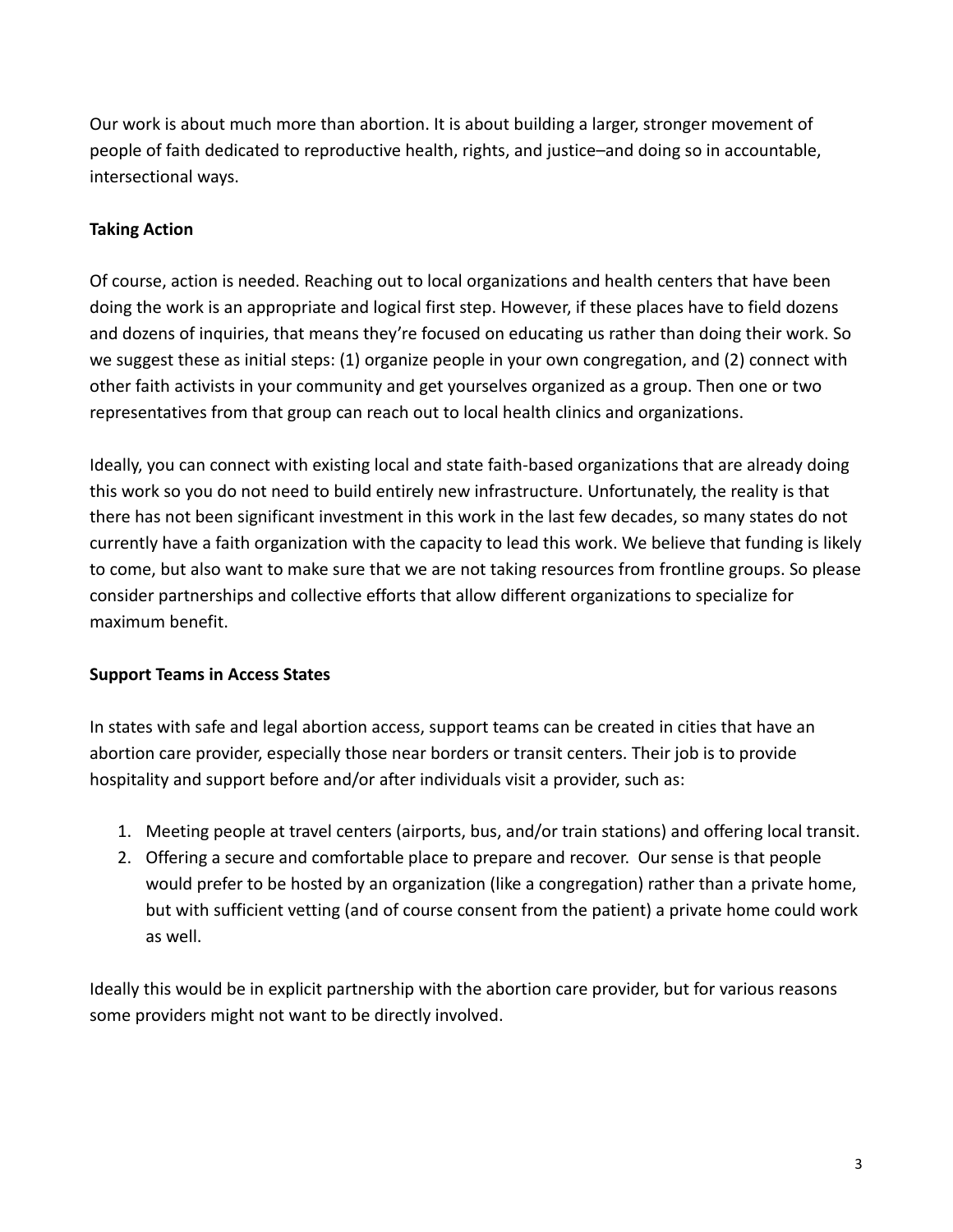Our work is about much more than abortion. It is about building a larger, stronger movement of people of faith dedicated to reproductive health, rights, and justice–and doing so in accountable, intersectional ways.

## **Taking Action**

Of course, action is needed. Reaching out to local organizations and health centers that have been doing the work is an appropriate and logical first step. However, if these places have to field dozens and dozens of inquiries, that means they're focused on educating us rather than doing their work. So we suggest these as initial steps: (1) organize people in your own congregation, and (2) connect with other faith activists in your community and get yourselves organized as a group. Then one or two representatives from that group can reach out to local health clinics and organizations.

Ideally, you can connect with existing local and state faith-based organizations that are already doing this work so you do not need to build entirely new infrastructure. Unfortunately, the reality is that there has not been significant investment in this work in the last few decades, so many states do not currently have a faith organization with the capacity to lead this work. We believe that funding is likely to come, but also want to make sure that we are not taking resources from frontline groups. So please consider partnerships and collective efforts that allow different organizations to specialize for maximum benefit.

#### **Support Teams in Access States**

In states with safe and legal abortion access, support teams can be created in cities that have an abortion care provider, especially those near borders or transit centers. Their job is to provide hospitality and support before and/or after individuals visit a provider, such as:

- 1. Meeting people at travel centers (airports, bus, and/or train stations) and offering local transit.
- 2. Offering a secure and comfortable place to prepare and recover. Our sense is that people would prefer to be hosted by an organization (like a congregation) rather than a private home, but with sufficient vetting (and of course consent from the patient) a private home could work as well.

Ideally this would be in explicit partnership with the abortion care provider, but for various reasons some providers might not want to be directly involved.